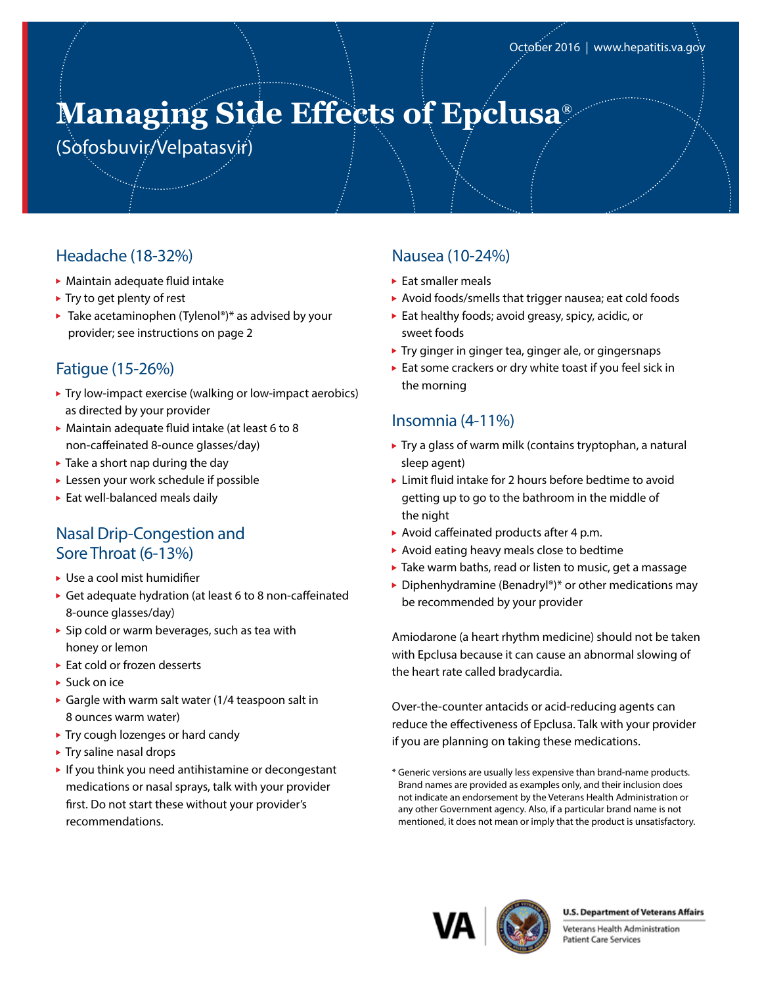# **Managing Side Effects of Epclusa®**

(Sofosbuvir/Velpatasvir)

### Headache (18-32%)

- Maintain adequate fluid intake
- $\blacktriangleright$  Try to get plenty of rest
- $\blacktriangleright$  Take acetaminophen (Tylenol®)\* as advised by your provider; see instructions on page 2

### Fatigue (15-26%)

- Try low-impact exercise (walking or low-impact aerobics) as directed by your provider
- Maintain adequate fluid intake (at least 6 to 8 non-caffeinated 8-ounce glasses/day)
- $\blacktriangleright$  Take a short nap during the day
- Lessen your work schedule if possible
- Eat well-balanced meals daily

### Nasal Drip-Congestion and Sore Throat (6-13%)

- ▶ Use a cool mist humidifier
- Get adequate hydration (at least 6 to 8 non-caffeinated 8-ounce glasses/day)
- $\triangleright$  Sip cold or warm beverages, such as tea with honey or lemon
- ► Eat cold or frozen desserts
- ▶ Suck on ice
- Gargle with warm salt water (1/4 teaspoon salt in 8 ounces warm water)
- ▶ Try cough lozenges or hard candy
- Try saline nasal drops
- $\blacktriangleright$  If you think you need antihistamine or decongestant medications or nasal sprays, talk with your provider first. Do not start these without your provider's recommendations.

### Nausea (10-24%)

- $\blacktriangleright$  Eat smaller meals
- Avoid foods/smells that trigger nausea; eat cold foods
- $\blacktriangleright$  Eat healthy foods; avoid greasy, spicy, acidic, or sweet foods
- ▶ Try ginger in ginger tea, ginger ale, or gingersnaps
- Eat some crackers or dry white toast if you feel sick in the morning

### Insomnia (4-11%)

- ▶ Try a glass of warm milk (contains tryptophan, a natural sleep agent)
- ► Limit fluid intake for 2 hours before bedtime to avoid getting up to go to the bathroom in the middle of the night
- ▶ Avoid caffeinated products after 4 p.m.
- Avoid eating heavy meals close to bedtime
- ▶ Take warm baths, read or listen to music, get a massage
- ▶ Diphenhydramine (Benadryl®)\* or other medications may be recommended by your provider

Amiodarone (a heart rhythm medicine) should not be taken with Epclusa because it can cause an abnormal slowing of the heart rate called bradycardia.

Over-the-counter antacids or acid-reducing agents can reduce the effectiveness of Epclusa. Talk with your provider if you are planning on taking these medications.



#### **U.S. Department of Veterans Affairs**

Veterans Health Administration Patient Care Services

<sup>\*</sup> Generic versions are usually less expensive than brand-name products. Brand names are provided as examples only, and their inclusion does not indicate an endorsement by the Veterans Health Administration or any other Government agency. Also, if a particular brand name is not mentioned, it does not mean or imply that the product is unsatisfactory.